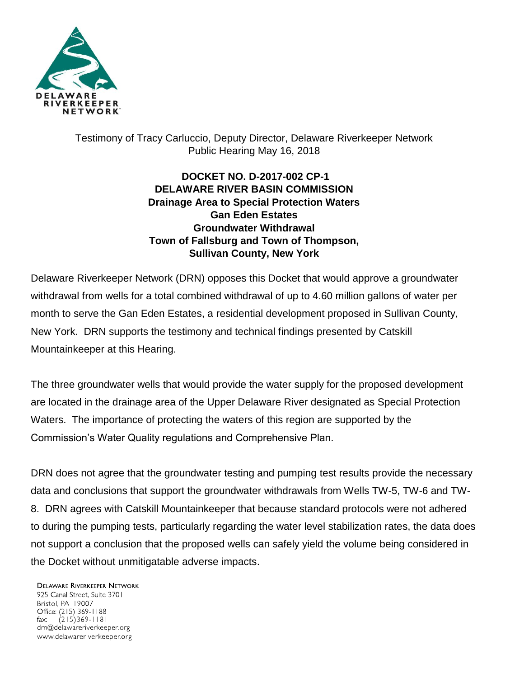

## Testimony of Tracy Carluccio, Deputy Director, Delaware Riverkeeper Network Public Hearing May 16, 2018

## **DOCKET NO. D-2017-002 CP-1 DELAWARE RIVER BASIN COMMISSION Drainage Area to Special Protection Waters Gan Eden Estates Groundwater Withdrawal Town of Fallsburg and Town of Thompson, Sullivan County, New York**

Delaware Riverkeeper Network (DRN) opposes this Docket that would approve a groundwater withdrawal from wells for a total combined withdrawal of up to 4.60 million gallons of water per month to serve the Gan Eden Estates, a residential development proposed in Sullivan County, New York. DRN supports the testimony and technical findings presented by Catskill Mountainkeeper at this Hearing.

The three groundwater wells that would provide the water supply for the proposed development are located in the drainage area of the Upper Delaware River designated as Special Protection Waters. The importance of protecting the waters of this region are supported by the Commission's Water Quality regulations and Comprehensive Plan.

DRN does not agree that the groundwater testing and pumping test results provide the necessary data and conclusions that support the groundwater withdrawals from Wells TW-5, TW-6 and TW-8. DRN agrees with Catskill Mountainkeeper that because standard protocols were not adhered to during the pumping tests, particularly regarding the water level stabilization rates, the data does not support a conclusion that the proposed wells can safely yield the volume being considered in the Docket without unmitigatable adverse impacts.

**DELAWARE RIVERKEEPER NETWORK** 925 Canal Street, Suite 3701 Bristol, PA 19007 Office: (215) 369-1188  $(215)369 - 1181$ fax: drn@delawareriverkeeper.org www.delawareriverkeeper.org